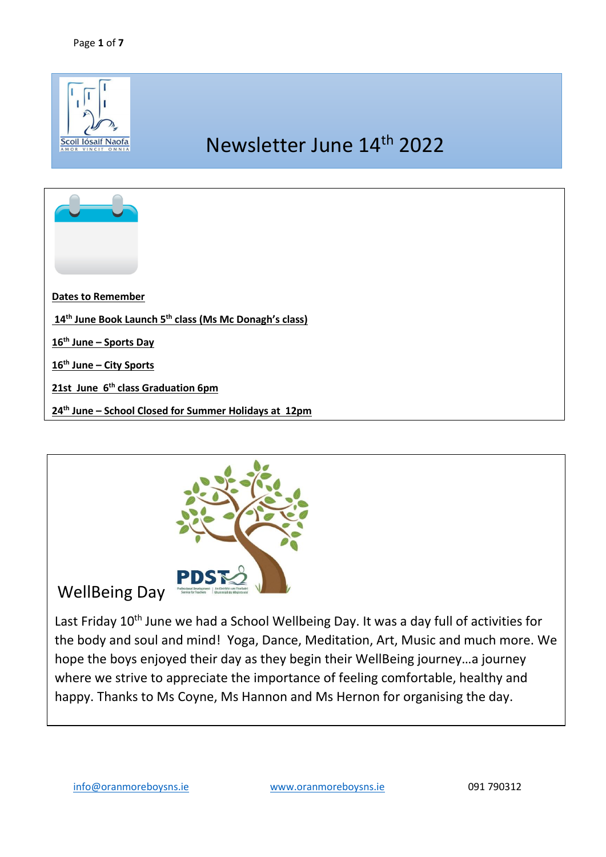

![](_page_0_Picture_2.jpeg)

# WellBeing Day

Last Friday 10<sup>th</sup> June we had a School Wellbeing Day. It was a day full of activities for the body and soul and mind! Yoga, Dance, Meditation, Art, Music and much more. We hope the boys enjoyed their day as they begin their WellBeing journey…a journey where we strive to appreciate the importance of feeling comfortable, healthy and happy. Thanks to Ms Coyne, Ms Hannon and Ms Hernon for organising the day.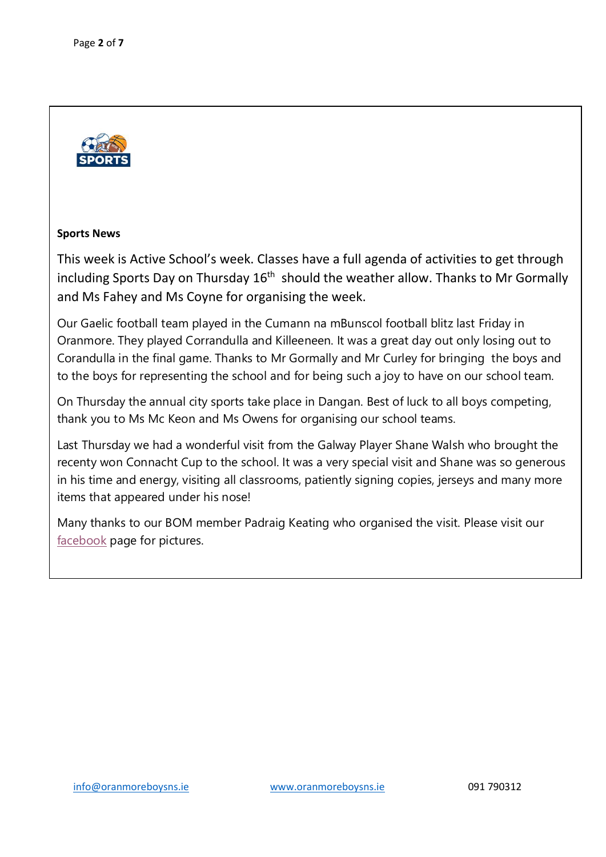![](_page_1_Picture_1.jpeg)

### **Sports News**

This week is Active School's week. Classes have a full agenda of activities to get through including Sports Day on Thursday  $16<sup>th</sup>$  should the weather allow. Thanks to Mr Gormally and Ms Fahey and Ms Coyne for organising the week.

Our Gaelic football team played in the Cumann na mBunscol football blitz last Friday in Oranmore. They played Corrandulla and Killeeneen. It was a great day out only losing out to Corandulla in the final game. Thanks to Mr Gormally and Mr Curley for bringing the boys and to the boys for representing the school and for being such a joy to have on our school team.

On Thursday the annual city sports take place in Dangan. Best of luck to all boys competing, thank you to Ms Mc Keon and Ms Owens for organising our school teams.

Last Thursday we had a wonderful visit from the Galway Player Shane Walsh who brought the recenty won Connacht Cup to the school. It was a very special visit and Shane was so generous in his time and energy, visiting all classrooms, patiently signing copies, jerseys and many more items that appeared under his nose!

Many thanks to our BOM member Padraig Keating who organised the visit. Please visit our [facebook](https://www.facebook.com/Oranmore-Boys-NS-Scoil-I%C3%B3saif-Naofa-621422747883739/?__cft__%5b0%5d=AZXVVadmYJN0JmiQbKM2zA6n43tQDcx2MGx-Wc9z-qss1fXmK8b0FG8bxhKmAglCy4ZH78sC3IXej3EP1Y8UYbPAf27b75uHgQZcqVNdwzeujrjQthlOiEmKBBZAS8QKkjQgkvAA1M-qQhe1MHakOzw4zxMl0501iUm1foN1CImamiA_TO8onH66h-VM_fWr9KNTUCE4X2xbMX8dZkvnhweT&__tn__=-UC%2CP-R) page for pictures.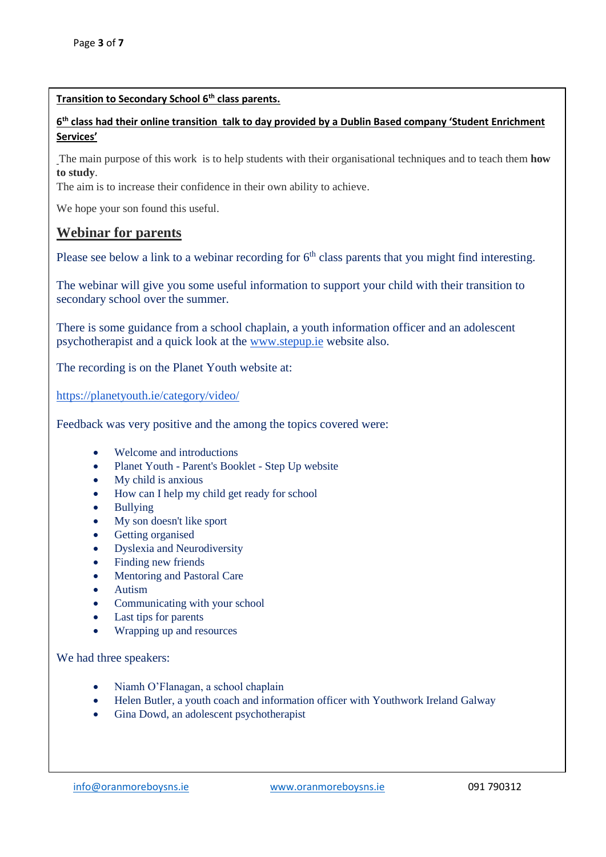### **Transition to Secondary School 6th class parents.**

## **6 th class had their online transition talk to day provided by a Dublin Based company 'Student Enrichment Services'**

The main purpose of this work is to help students with their organisational techniques and to teach them **how to study**.

The aim is to increase their confidence in their own ability to achieve.

We hope your son found this useful.

# **Webinar for parents**

Please see below a link to a webinar recording for  $6<sup>th</sup>$  class parents that you might find interesting.

The webinar will give you some useful information to support your child with their transition to secondary school over the summer.

There is some guidance from a school chaplain, a youth information officer and an adolescent psychotherapist and a quick look at the [www.stepup.ie](http://www.stepup.ie/) website also.

The recording is on the Planet Youth website at:

<https://planetyouth.ie/category/video/>

Feedback was very positive and the among the topics covered were:

- Welcome and introductions
- Planet Youth Parent's Booklet Step Up website
- My child is anxious
- How can I help my child get ready for school
- Bullying
- My son doesn't like sport
- Getting organised
- Dyslexia and Neurodiversity
- Finding new friends
- Mentoring and Pastoral Care
- Autism
- Communicating with your school
- Last tips for parents
- Wrapping up and resources

We had three speakers:

- Niamh O'Flanagan, a school chaplain
- Helen Butler, a youth coach and information officer with Youthwork Ireland Galway
- Gina Dowd, an adolescent psychotherapist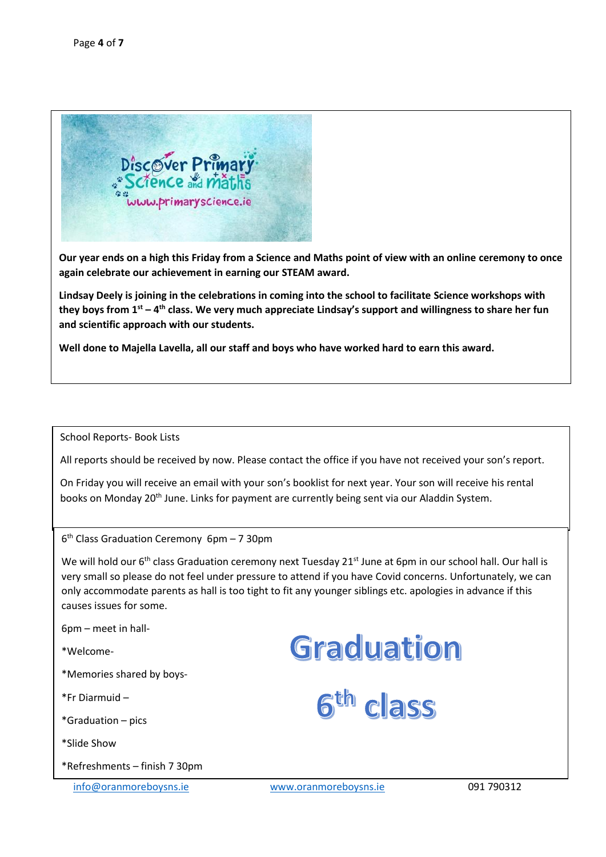![](_page_3_Picture_1.jpeg)

**Our year ends on a high this Friday from a Science and Maths point of view with an online ceremony to once again celebrate our achievement in earning our STEAM award.** 

**Lindsay Deely is joining in the celebrations in coming into the school to facilitate Science workshops with they boys from 1st – 4 th class. We very much appreciate Lindsay's support and willingness to share her fun and scientific approach with our students.** 

**Well done to Majella Lavella, all our staff and boys who have worked hard to earn this award.** 

#### School Reports- Book Lists

All reports should be received by now. Please contact the office if you have not received your son's report.

On Friday you will receive an email with your son's booklist for next year. Your son will receive his rental books on Monday 20<sup>th</sup> June. Links for payment are currently being sent via our Aladdin System.

6 th Class Graduation Ceremony 6pm – 7 30pm

We will hold our 6<sup>th</sup> class Graduation ceremony next Tuesday 21<sup>st</sup> June at 6pm in our school hall. Our hall is very small so please do not feel under pressure to attend if you have Covid concerns. Unfortunately, we can only accommodate parents as hall is too tight to fit any younger siblings etc. apologies in advance if this causes issues for some.

6pm – meet in hall-

\*Welcome-

\*Memories shared by boys-

\*Fr Diarmuid –

\*Graduation – pics

\*Slide Show

\*Refreshments – finish 7 30pm

Graduation

6<sup>th</sup> class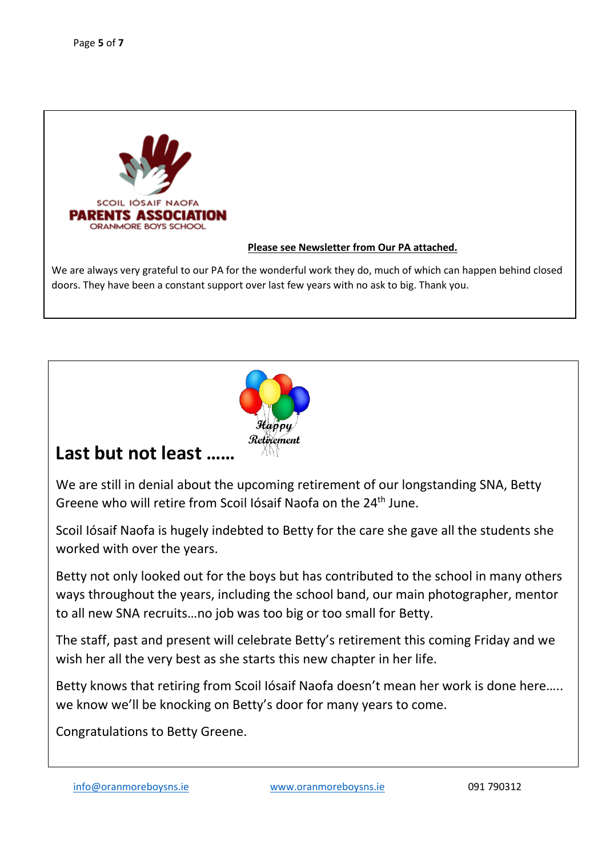![](_page_4_Picture_1.jpeg)

### **Please see Newsletter from Our PA attached.**

We are always very grateful to our PA for the wonderful work they do, much of which can happen behind closed doors. They have been a constant support over last few years with no ask to big. Thank you.

![](_page_4_Picture_4.jpeg)

# **Last but not least ……**

We are still in denial about the upcoming retirement of our longstanding SNA, Betty Greene who will retire from Scoil Iósaif Naofa on the 24th June.

Scoil Iósaif Naofa is hugely indebted to Betty for the care she gave all the students she worked with over the years.

Betty not only looked out for the boys but has contributed to the school in many others ways throughout the years, including the school band, our main photographer, mentor to all new SNA recruits…no job was too big or too small for Betty.

The staff, past and present will celebrate Betty's retirement this coming Friday and we wish her all the very best as she starts this new chapter in her life.

Betty knows that retiring from Scoil Iósaif Naofa doesn't mean her work is done here….. we know we'll be knocking on Betty's door for many years to come.

Congratulations to Betty Greene.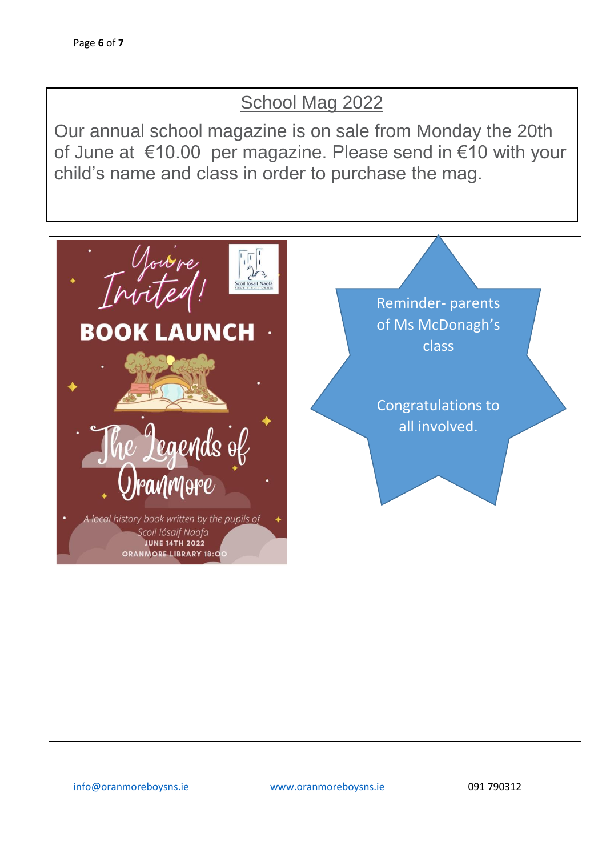# School Mag 2022

Our annual school magazine is on sale from Monday the 20th of June at €10.00 per magazine. Please send in €10 with your child's name and class in order to purchase the mag.

![](_page_5_Picture_3.jpeg)